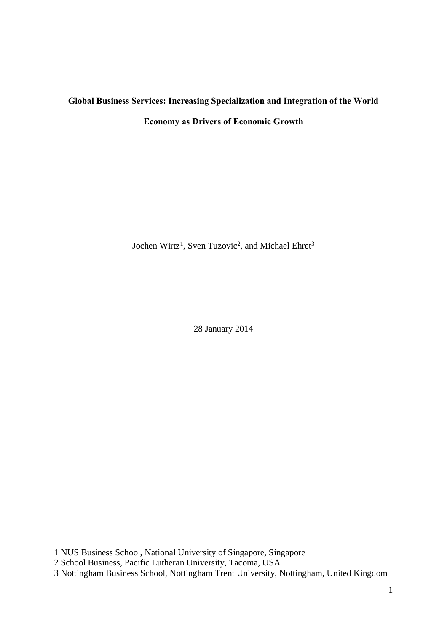# Global Business Services: Increasing Specialization and Integration of the World Economy as Drivers of Economic Growth

Jochen Wirtz<sup>1</sup>, Sven Tuzovic<sup>2</sup>, and Michael Ehret<sup>3</sup>

January 2014

NUS Business School, National University of Singapore, Singapore

School Business, Pacific Lutheran University, Tacoma, USA

Nottingham Business School, Nottingham Trent University, Nottingham, United Kingdom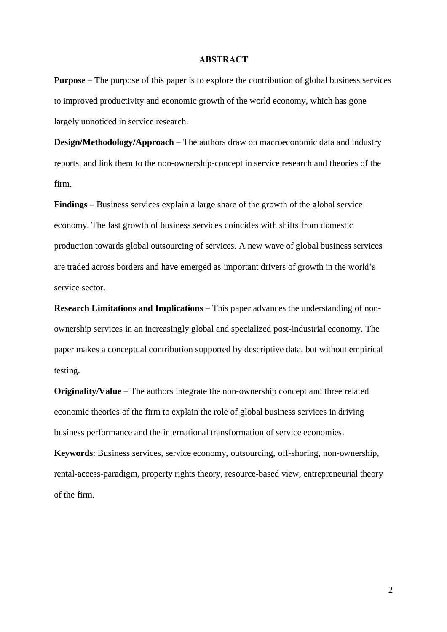## ABSTRACT

**Purpose** – The purpose of this paper is to explore the contribution of global business services to improved productivity and economic growth of the world economy, which has gone largely unnoticed in service research.

**Design/Methodology/Approach** – The authors draw on macroeconomic data and industry reports, and link them to the non-ownership-concept in service research and theories of the firm.

**Findings** – Business services explain a large share of the growth of the global service economy. The fast growth of business services coincides with shifts from domestic production towards global outsourcing of services. A new wave of global business services are traded across borders and have emerged as important drivers of growth in the world's service sector.

**Research Limitations and Implications** – This paper advances the understanding of nonownership services in an increasingly global and specialized post-industrial economy. The paper makes a conceptual contribution supported by descriptive data, but without empirical testing.

**Originality/Value** – The authors integrate the non-ownership concept and three related economic theories of the firm to explain the role of global business services in driving business performance and the international transformation of service economies.

**Keywords**: Business services, service economy, outsourcing, off-shoring, non-ownership, rental-access-paradigm, property rights theory, resource-based view, entrepreneurial theory of the firm.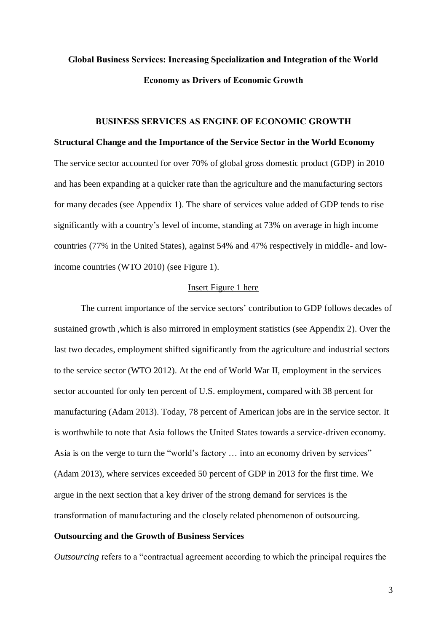# Global Business Services: Increasing Specialization and Integration of the World Economy as Drivers of Economic Growth

# BUSINESS SERVICES AS ENGINE OF ECONOMIC GROWTH

## **Structural Change and the Importance of the Service Sector in the World Economy**

The service sector accounted for over 70% of global gross domestic product (GDP) in 2010 and has been expanding at a quicker rate than the agriculture and the manufacturing sectors for many decades (see Appendix 1). The share of services value added of GDP tends to rise significantly with a country's level of income, standing at 73% on average in high income countries (77% in the United States), against 54% and 47% respectively in middle- and lowincome countries (WTO 2010) (see Figure 1).

# Insert Figure 1 here

The current importance of the service sectors' contribution to GDP follows decades of sustained growth ,which is also mirrored in employment statistics (see Appendix 2). Over the last two decades, employment shifted significantly from the agriculture and industrial sectors to the service sector (WTO 2012). At the end of World War II, employment in the services sector accounted for only ten percent of U.S. employment, compared with 38 percent for manufacturing (Adam 2013). Today, 78 percent of American jobs are in the service sector. It is worthwhile to note that Asia follows the United States towards a service-driven economy. Asia is on the verge to turn the "world's factory … into an economy driven by services" (Adam 2013), where services exceeded 50 percent of GDP in 2013 for the first time. We argue in the next section that a key driver of the strong demand for services is the transformation of manufacturing and the closely related phenomenon of outsourcing.

## **Outsourcing and the Growth of Business Services**

*Outsourcing* refers to a "contractual agreement according to which the principal requires the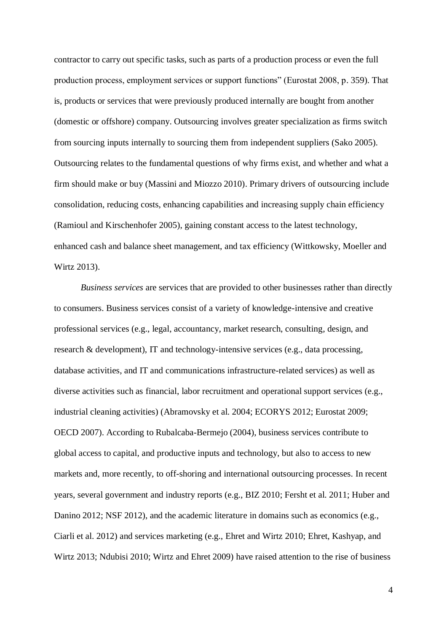contractor to carry out specific tasks, such as parts of a production process or even the full production process, employment services or support functions" (Eurostat 2008, p. 359). That is, products or services that were previously produced internally are bought from another (domestic or offshore) company. Outsourcing involves greater specialization as firms switch from sourcing inputs internally to sourcing them from independent suppliers (Sako 2005). Outsourcing relates to the fundamental questions of why firms exist, and whether and what a firm should make or buy (Massini and Miozzo 2010). Primary drivers of outsourcing include consolidation, reducing costs, enhancing capabilities and increasing supply chain efficiency (Ramioul and Kirschenhofer 2005), gaining constant access to the latest technology, enhanced cash and balance sheet management, and tax efficiency (Wittkowsky, Moeller and Wirtz 2013).

*Business services* are services that are provided to other businesses rather than directly to consumers. Business services consist of a variety of knowledge-intensive and creative professional services (e.g., legal, accountancy, market research, consulting, design, and research & development), IT and technology-intensive services (e.g., data processing, database activities, and IT and communications infrastructure-related services) as well as diverse activities such as financial, labor recruitment and operational support services (e.g., industrial cleaning activities) (Abramovsky et al. 2004; ECORYS 2012; Eurostat 2009; OECD 2007). According to Rubalcaba-Bermejo (2004), business services contribute to global access to capital, and productive inputs and technology, but also to access to new markets and, more recently, to off-shoring and international outsourcing processes. In recent years, several government and industry reports (e.g., BIZ 2010; Fersht et al. 2011; Huber and Danino 2012; NSF 2012), and the academic literature in domains such as economics (e.g., Ciarli et al. 2012) and services marketing (e.g., Ehret and Wirtz 2010; Ehret, Kashyap, and Wirtz 2013; Ndubisi 2010; Wirtz and Ehret 2009) have raised attention to the rise of business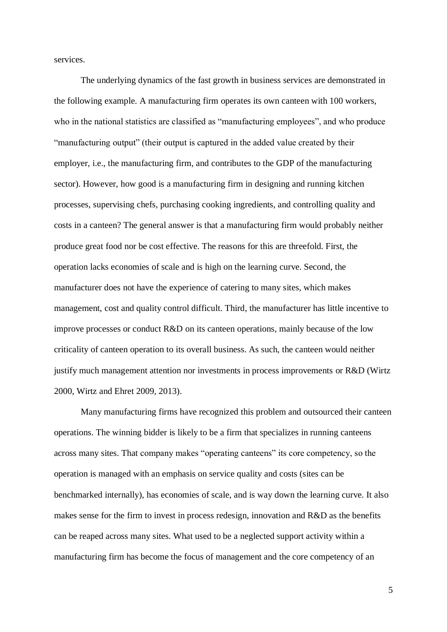services.

The underlying dynamics of the fast growth in business services are demonstrated in the following example. A manufacturing firm operates its own canteen with 100 workers, who in the national statistics are classified as "manufacturing employees", and who produce "manufacturing output" (their output is captured in the added value created by their employer, i.e., the manufacturing firm, and contributes to the GDP of the manufacturing sector). However, how good is a manufacturing firm in designing and running kitchen processes, supervising chefs, purchasing cooking ingredients, and controlling quality and costs in a canteen? The general answer is that a manufacturing firm would probably neither produce great food nor be cost effective. The reasons for this are threefold. First, the operation lacks economies of scale and is high on the learning curve. Second, the manufacturer does not have the experience of catering to many sites, which makes management, cost and quality control difficult. Third, the manufacturer has little incentive to improve processes or conduct R&D on its canteen operations, mainly because of the low criticality of canteen operation to its overall business. As such, the canteen would neither justify much management attention nor investments in process improvements or R&D (Wirtz 2000, Wirtz and Ehret 2009, 2013).

Many manufacturing firms have recognized this problem and outsourced their canteen operations. The winning bidder is likely to be a firm that specializes in running canteens across many sites. That company makes "operating canteens" its core competency, so the operation is managed with an emphasis on service quality and costs (sites can be benchmarked internally), has economies of scale, and is way down the learning curve. It also makes sense for the firm to invest in process redesign, innovation and R&D as the benefits can be reaped across many sites. What used to be a neglected support activity within a manufacturing firm has become the focus of management and the core competency of an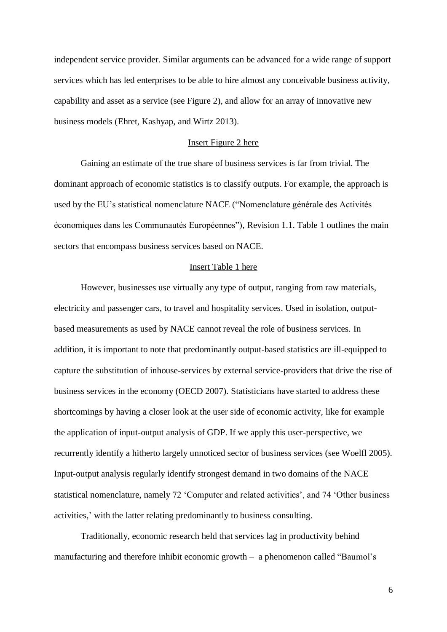independent service provider. Similar arguments can be advanced for a wide range of support services which has led enterprises to be able to hire almost any conceivable business activity, capability and asset as a service (see Figure 2), and allow for an array of innovative new business models (Ehret, Kashyap, and Wirtz 2013).

# Insert Figure 2 here

Gaining an estimate of the true share of business services is far from trivial. The dominant approach of economic statistics is to classify outputs. For example, the approach is used by the EU's statistical nomenclature NACE ("Nomenclature générale des Activités économiques dans les Communautés Européennes"), Revision 1.1. Table 1 outlines the main sectors that encompass business services based on NACE.

# Insert Table 1 here

However, businesses use virtually any type of output, ranging from raw materials, electricity and passenger cars, to travel and hospitality services. Used in isolation, outputbased measurements as used by NACE cannot reveal the role of business services. In addition, it is important to note that predominantly output-based statistics are ill-equipped to capture the substitution of inhouse-services by external service-providers that drive the rise of business services in the economy (OECD 2007). Statisticians have started to address these shortcomings by having a closer look at the user side of economic activity, like for example the application of input-output analysis of GDP. If we apply this user-perspective, we recurrently identify a hitherto largely unnoticed sector of business services (see Woelfl 2005). Input-output analysis regularly identify strongest demand in two domains of the NACE statistical nomenclature, namely 72 'Computer and related activities', and 74 'Other business activities,' with the latter relating predominantly to business consulting.

Traditionally, economic research held that services lag in productivity behind manufacturing and therefore inhibit economic growth – a phenomenon called "Baumol's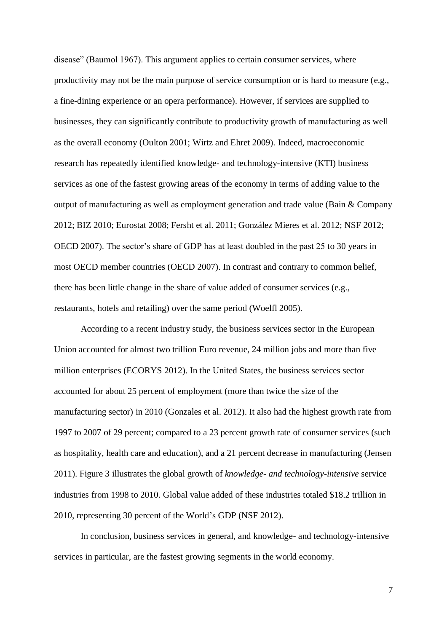disease" (Baumol 1967). This argument applies to certain consumer services, where productivity may not be the main purpose of service consumption or is hard to measure (e.g., a fine-dining experience or an opera performance). However, if services are supplied to businesses, they can significantly contribute to productivity growth of manufacturing as well as the overall economy (Oulton 2001; Wirtz and Ehret 2009). Indeed, macroeconomic research has repeatedly identified knowledge- and technology-intensive (KTI) business services as one of the fastest growing areas of the economy in terms of adding value to the output of manufacturing as well as employment generation and trade value (Bain & Company 2012; BIZ 2010; Eurostat 2008; Fersht et al. 2011; González Mieres et al. 2012; NSF 2012; OECD 2007). The sector's share of GDP has at least doubled in the past 25 to 30 years in most OECD member countries (OECD 2007). In contrast and contrary to common belief, there has been little change in the share of value added of consumer services (e.g., restaurants, hotels and retailing) over the same period (Woelfl 2005).

According to a recent industry study, the business services sector in the European Union accounted for almost two trillion Euro revenue, 24 million jobs and more than five million enterprises (ECORYS 2012). In the United States, the business services sector accounted for about 25 percent of employment (more than twice the size of the manufacturing sector) in 2010 (Gonzales et al. 2012). It also had the highest growth rate from 1997 to 2007 of 29 percent; compared to a 23 percent growth rate of consumer services (such as hospitality, health care and education), and a 21 percent decrease in manufacturing (Jensen 2011). Figure 3 illustrates the global growth of *knowledge- and technology-intensive* service industries from 1998 to 2010. Global value added of these industries totaled \$18.2 trillion in 2010, representing 30 percent of the World's GDP (NSF 2012).

In conclusion, business services in general, and knowledge- and technology-intensive services in particular, are the fastest growing segments in the world economy.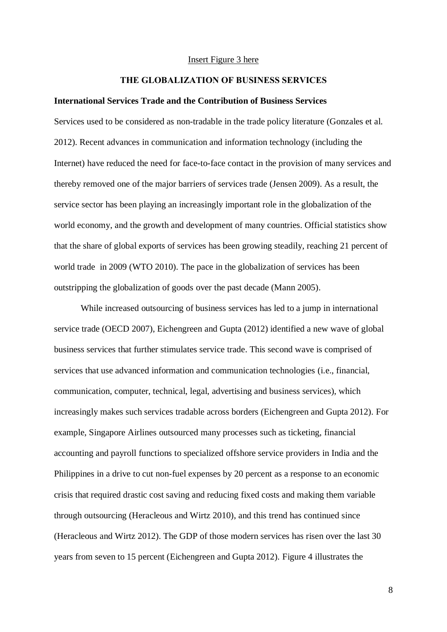## Insert Figure 3 here

#### THE GLOBALIZATION OF BUSINESS SERVICES

#### **International Services Trade and the Contribution of Business Services**

Services used to be considered as non-tradable in the trade policy literature (Gonzales et al. 2012). Recent advances in communication and information technology (including the Internet) have reduced the need for face-to-face contact in the provision of many services and thereby removed one of the major barriers of services trade (Jensen 2009). As a result, the service sector has been playing an increasingly important role in the globalization of the world economy, and the growth and development of many countries. Official statistics show that the share of global exports of services has been growing steadily, reaching 21 percent of world trade in 2009 (WTO 2010). The pace in the globalization of services has been outstripping the globalization of goods over the past decade (Mann 2005).

While increased outsourcing of business services has led to a jump in international service trade (OECD 2007), Eichengreen and Gupta (2012) identified a new wave of global business services that further stimulates service trade. This second wave is comprised of services that use advanced information and communication technologies (i.e., financial, communication, computer, technical, legal, advertising and business services), which increasingly makes such services tradable across borders (Eichengreen and Gupta 2012). For example, Singapore Airlines outsourced many processes such as ticketing, financial accounting and payroll functions to specialized offshore service providers in India and the Philippines in a drive to cut non-fuel expenses by 20 percent as a response to an economic crisis that required drastic cost saving and reducing fixed costs and making them variable through outsourcing (Heracleous and Wirtz 2010), and this trend has continued since (Heracleous and Wirtz 2012). The GDP of those modern services has risen over the last 30 years from seven to 15 percent (Eichengreen and Gupta 2012). Figure 4 illustrates the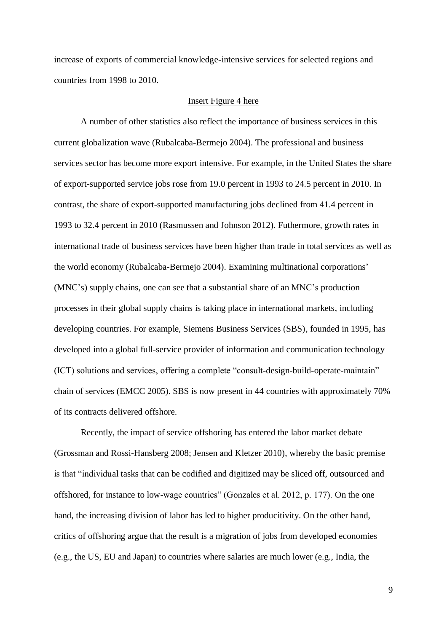increase of exports of commercial knowledge-intensive services for selected regions and countries from 1998 to 2010.

#### Insert Figure 4 here

A number of other statistics also reflect the importance of business services in this current globalization wave (Rubalcaba-Bermejo 2004). The professional and business services sector has become more export intensive. For example, in the United States the share of export-supported service jobs rose from 19.0 percent in 1993 to 24.5 percent in 2010. In contrast, the share of export-supported manufacturing jobs declined from 41.4 percent in 1993 to 32.4 percent in 2010 (Rasmussen and Johnson 2012). Futhermore, growth rates in international trade of business services have been higher than trade in total services as well as the world economy (Rubalcaba-Bermejo 2004). Examining multinational corporations' (MNC's) supply chains, one can see that a substantial share of an MNC's production processes in their global supply chains is taking place in international markets, including developing countries. For example, Siemens Business Services (SBS), founded in 1995, has developed into a global full-service provider of information and communication technology (ICT) solutions and services, offering a complete "consult-design-build-operate-maintain" chain of services (EMCC 2005). SBS is now present in 44 countries with approximately 70% of its contracts delivered offshore.

Recently, the impact of service offshoring has entered the labor market debate (Grossman and Rossi-Hansberg 2008; Jensen and Kletzer 2010), whereby the basic premise is that "individual tasks that can be codified and digitized may be sliced off, outsourced and offshored, for instance to low-wage countries" (Gonzales et al. 2012, p. 177). On the one hand, the increasing division of labor has led to higher producitivity. On the other hand, critics of offshoring argue that the result is a migration of jobs from developed economies (e.g., the US, EU and Japan) to countries where salaries are much lower (e.g., India, the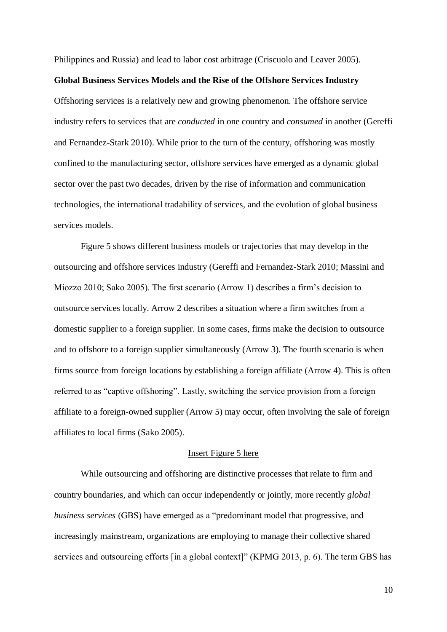Philippines and Russia) and lead to labor cost arbitrage (Criscuolo and Leaver 2005).

#### **Global Business Services Models and the Rise of the Offshore Services Industry**

Offshoring services is a relatively new and growing phenomenon. The offshore service industry refers to services that are *conducted* in one country and *consumed* in another (Gereffi and Fernandez-Stark 2010). While prior to the turn of the century, offshoring was mostly confined to the manufacturing sector, offshore services have emerged as a dynamic global sector over the past two decades, driven by the rise of information and communication technologies, the international tradability of services, and the evolution of global business services models.

Figure 5 shows different business models or trajectories that may develop in the outsourcing and offshore services industry (Gereffi and Fernandez-Stark 2010; Massini and Miozzo 2010; Sako 2005). The first scenario (Arrow 1) describes a firm's decision to outsource services locally. Arrow 2 describes a situation where a firm switches from a domestic supplier to a foreign supplier. In some cases, firms make the decision to outsource and to offshore to a foreign supplier simultaneously (Arrow 3). The fourth scenario is when firms source from foreign locations by establishing a foreign affiliate (Arrow 4). This is often referred to as "captive offshoring". Lastly, switching the service provision from a foreign affiliate to a foreign-owned supplier (Arrow 5) may occur, often involving the sale of foreign affiliates to local firms (Sako 2005).

# Insert Figure 5 here

While outsourcing and offshoring are distinctive processes that relate to firm and country boundaries, and which can occur independently or jointly, more recently *global business services* (GBS) have emerged as a "predominant model that progressive, and increasingly mainstream, organizations are employing to manage their collective shared services and outsourcing efforts [in a global context]" (KPMG 2013, p. 6). The term GBS has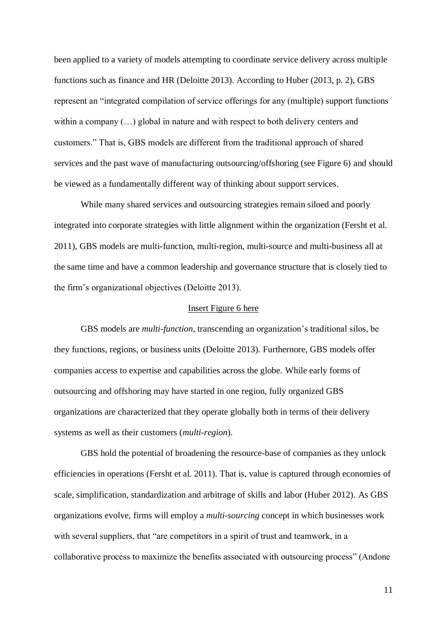been applied to a variety of models attempting to coordinate service delivery across multiple functions such as finance and HR (Deloitte 2013). According to Huber (2013, p. 2), GBS represent an "integrated compilation of service offerings for any (multiple) support functions within a company  $(...)$  global in nature and with respect to both delivery centers and customers." That is, GBS models are different from the traditional approach of shared services and the past wave of manufacturing outsourcing/offshoring (see Figure 6) and should be viewed as a fundamentally different way of thinking about support services.

While many shared services and outsourcing strategies remain siloed and poorly integrated into corporate strategies with little alignment within the organization (Fersht et al. 2011), GBS models are multi-function, multi-region, multi-source and multi-business all at the same time and have a common leadership and governance structure that is closely tied to the firm's organizational objectives (Deloitte 2013).

# Insert Figure 6 here

GBS models are *multi-function*, transcending an organization's traditional silos, be they functions, regions, or business units (Deloitte 2013). Furthernore, GBS models offer companies access to expertise and capabilities across the globe. While early forms of outsourcing and offshoring may have started in one region, fully organized GBS organizations are characterized that they operate globally both in terms of their delivery systems as well as their customers (*multi-region*).

GBS hold the potential of broadening the resource-base of companies as they unlock efficiencies in operations (Fersht et al. 2011). That is, value is captured through economies of scale, simplification, standardization and arbitrage of skills and labor (Huber 2012). As GBS organizations evolve, firms will employ a *multi-sourcing* concept in which businesses work with several suppliers, that "are competitors in a spirit of trust and teamwork, in a collaborative process to maximize the benefits associated with outsourcing process" (Andone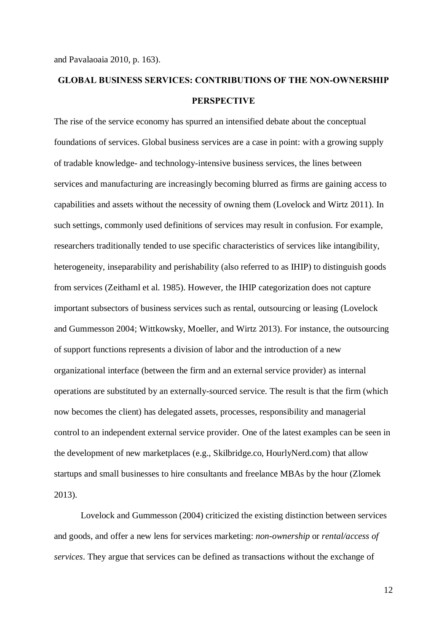# GLOBAL BUSINESS SERVICES: CONTRIBUTIONS OF THE NON-OWNERSHIP PERSPECTIVE

The rise of the service economy has spurred an intensified debate about the conceptual foundations of services. Global business services are a case in point: with a growing supply of tradable knowledge- and technology-intensive business services, the lines between services and manufacturing are increasingly becoming blurred as firms are gaining access to capabilities and assets without the necessity of owning them (Lovelock and Wirtz 2011). In such settings, commonly used definitions of services may result in confusion. For example, researchers traditionally tended to use specific characteristics of services like intangibility, heterogeneity, inseparability and perishability (also referred to as IHIP) to distinguish goods from services (Zeithaml et al. 1985). However, the IHIP categorization does not capture important subsectors of business services such as rental, outsourcing or leasing (Lovelock and Gummesson 2004; Wittkowsky, Moeller, and Wirtz 2013). For instance, the outsourcing of support functions represents a division of labor and the introduction of a new organizational interface (between the firm and an external service provider) as internal operations are substituted by an externally-sourced service. The result is that the firm (which now becomes the client) has delegated assets, processes, responsibility and managerial control to an independent external service provider. One of the latest examples can be seen in the development of new marketplaces (e.g., Skilbridge.co, HourlyNerd.com) that allow startups and small businesses to hire consultants and freelance MBAs by the hour (Zlomek 2013).

Lovelock and Gummesson (2004) criticized the existing distinction between services and goods, and offer a new lens for services marketing: *non-ownership* or *rental/access of services*. They argue that services can be defined as transactions without the exchange of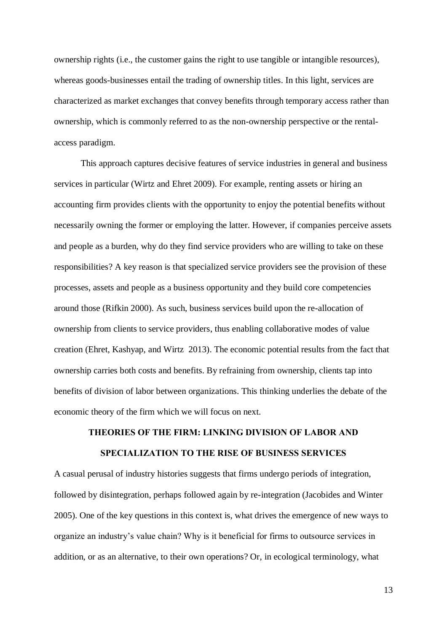ownership rights (i.e., the customer gains the right to use tangible or intangible resources), whereas goods-businesses entail the trading of ownership titles. In this light, services are characterized as market exchanges that convey benefits through temporary access rather than ownership, which is commonly referred to as the non-ownership perspective or the rentalaccess paradigm.

This approach captures decisive features of service industries in general and business services in particular (Wirtz and Ehret 2009). For example, renting assets or hiring an accounting firm provides clients with the opportunity to enjoy the potential benefits without necessarily owning the former or employing the latter. However, if companies perceive assets and people as a burden, why do they find service providers who are willing to take on these responsibilities? A key reason is that specialized service providers see the provision of these processes, assets and people as a business opportunity and they build core competencies around those (Rifkin 2000). As such, business services build upon the re-allocation of ownership from clients to service providers, thus enabling collaborative modes of value creation (Ehret, Kashyap, and Wirtz 2013). The economic potential results from the fact that ownership carries both costs and benefits. By refraining from ownership, clients tap into benefits of division of labor between organizations. This thinking underlies the debate of the economic theory of the firm which we will focus on next.

# THEORIES OF THE FIRM: LINKING DIVISION OF LABOR AND SPECIALIZATION TO THE RISE OF BUSINESS SERVICES

A casual perusal of industry histories suggests that firms undergo periods of integration, followed by disintegration, perhaps followed again by re-integration (Jacobides and Winter 2005). One of the key questions in this context is, what drives the emergence of new ways to organize an industry's value chain? Why is it beneficial for firms to outsource services in addition, or as an alternative, to their own operations? Or, in ecological terminology, what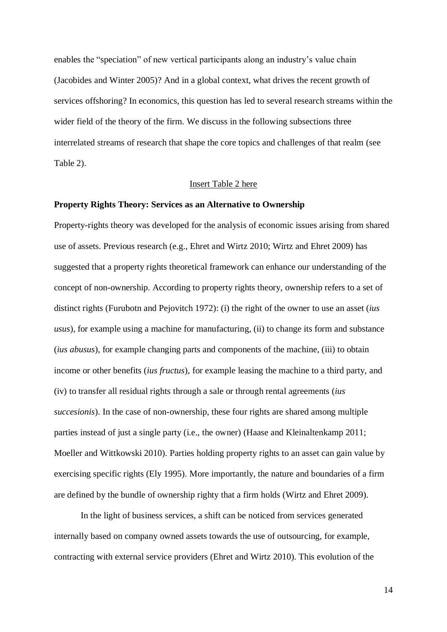enables the "speciation" of new vertical participants along an industry's value chain (Jacobides and Winter 2005)? And in a global context, what drives the recent growth of services offshoring? In economics, this question has led to several research streams within the wider field of the theory of the firm. We discuss in the following subsections three interrelated streams of research that shape the core topics and challenges of that realm (see Table 2).

## Insert Table 2 here

#### **Property Rights Theory: Services as an Alternative to Ownership**

Property-rights theory was developed for the analysis of economic issues arising from shared use of assets. Previous research (e.g., Ehret and Wirtz 2010; Wirtz and Ehret 2009) has suggested that a property rights theoretical framework can enhance our understanding of the concept of non-ownership. According to property rights theory, ownership refers to a set of distinct rights (Furubotn and Pejovitch 1972): (i) the right of the owner to use an asset (*ius usus*), for example using a machine for manufacturing, (ii) to change its form and substance (*ius abusus*), for example changing parts and components of the machine, (iii) to obtain income or other benefits (*ius fructus*), for example leasing the machine to a third party, and (iv) to transfer all residual rights through a sale or through rental agreements (*ius succesionis*). In the case of non-ownership, these four rights are shared among multiple parties instead of just a single party (i.e., the owner) (Haase and Kleinaltenkamp 2011; Moeller and Wittkowski 2010). Parties holding property rights to an asset can gain value by exercising specific rights (Ely 1995). More importantly, the nature and boundaries of a firm are defined by the bundle of ownership righty that a firm holds (Wirtz and Ehret 2009).

In the light of business services, a shift can be noticed from services generated internally based on company owned assets towards the use of outsourcing, for example, contracting with external service providers (Ehret and Wirtz 2010). This evolution of the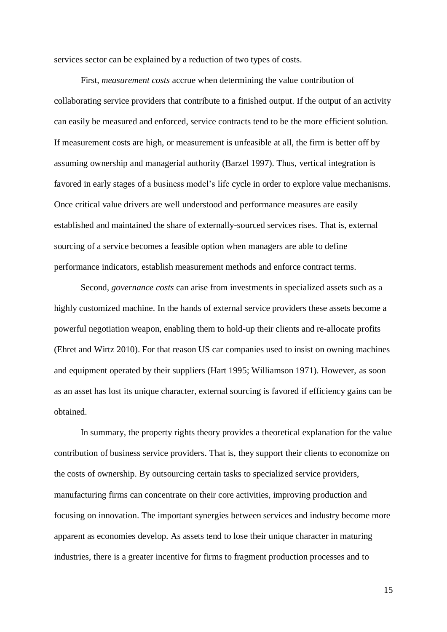services sector can be explained by a reduction of two types of costs.

First, *measurement costs* accrue when determining the value contribution of collaborating service providers that contribute to a finished output. If the output of an activity can easily be measured and enforced, service contracts tend to be the more efficient solution. If measurement costs are high, or measurement is unfeasible at all, the firm is better off by assuming ownership and managerial authority (Barzel 1997). Thus, vertical integration is favored in early stages of a business model's life cycle in order to explore value mechanisms. Once critical value drivers are well understood and performance measures are easily established and maintained the share of externally-sourced services rises. That is, external sourcing of a service becomes a feasible option when managers are able to define performance indicators, establish measurement methods and enforce contract terms.

Second, *governance costs* can arise from investments in specialized assets such as a highly customized machine. In the hands of external service providers these assets become a powerful negotiation weapon, enabling them to hold-up their clients and re-allocate profits (Ehret and Wirtz 2010). For that reason US car companies used to insist on owning machines and equipment operated by their suppliers (Hart 1995; Williamson 1971). However, as soon as an asset has lost its unique character, external sourcing is favored if efficiency gains can be obtained.

In summary, the property rights theory provides a theoretical explanation for the value contribution of business service providers. That is, they support their clients to economize on the costs of ownership. By outsourcing certain tasks to specialized service providers, manufacturing firms can concentrate on their core activities, improving production and focusing on innovation. The important synergies between services and industry become more apparent as economies develop. As assets tend to lose their unique character in maturing industries, there is a greater incentive for firms to fragment production processes and to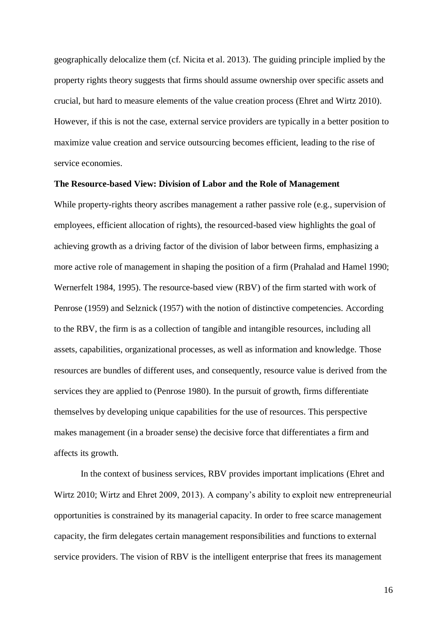geographically delocalize them (cf. Nicita et al. 2013). The guiding principle implied by the property rights theory suggests that firms should assume ownership over specific assets and crucial, but hard to measure elements of the value creation process (Ehret and Wirtz 2010). However, if this is not the case, external service providers are typically in a better position to maximize value creation and service outsourcing becomes efficient, leading to the rise of service economies.

## **The Resource-based View: Division of Labor and the Role of Management**

While property-rights theory ascribes management a rather passive role (e.g., supervision of employees, efficient allocation of rights), the resourced-based view highlights the goal of achieving growth as a driving factor of the division of labor between firms, emphasizing a more active role of management in shaping the position of a firm (Prahalad and Hamel 1990; Wernerfelt 1984, 1995). The resource-based view (RBV) of the firm started with work of Penrose (1959) and Selznick (1957) with the notion of distinctive competencies. According to the RBV, the firm is as a collection of tangible and intangible resources, including all assets, capabilities, organizational processes, as well as information and knowledge. Those resources are bundles of different uses, and consequently, resource value is derived from the services they are applied to (Penrose 1980). In the pursuit of growth, firms differentiate themselves by developing unique capabilities for the use of resources. This perspective makes management (in a broader sense) the decisive force that differentiates a firm and affects its growth.

In the context of business services, RBV provides important implications (Ehret and Wirtz 2010; Wirtz and Ehret 2009, 2013). A company's ability to exploit new entrepreneurial opportunities is constrained by its managerial capacity. In order to free scarce management capacity, the firm delegates certain management responsibilities and functions to external service providers. The vision of RBV is the intelligent enterprise that frees its management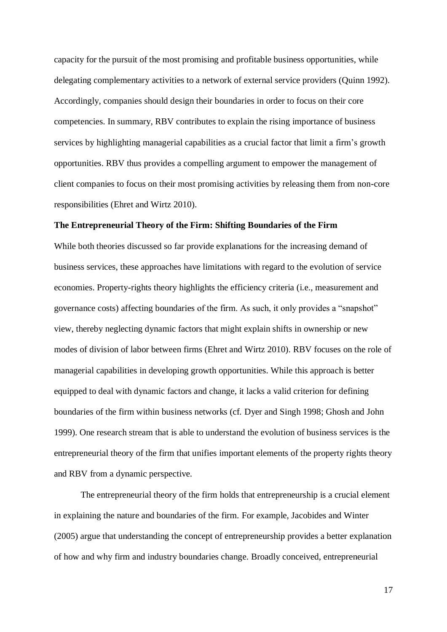capacity for the pursuit of the most promising and profitable business opportunities, while delegating complementary activities to a network of external service providers (Quinn 1992). Accordingly, companies should design their boundaries in order to focus on their core competencies. In summary, RBV contributes to explain the rising importance of business services by highlighting managerial capabilities as a crucial factor that limit a firm's growth opportunities. RBV thus provides a compelling argument to empower the management of client companies to focus on their most promising activities by releasing them from non-core responsibilities (Ehret and Wirtz 2010).

# **The Entrepreneurial Theory of the Firm: Shifting Boundaries of the Firm**

While both theories discussed so far provide explanations for the increasing demand of business services, these approaches have limitations with regard to the evolution of service economies. Property-rights theory highlights the efficiency criteria (i.e., measurement and governance costs) affecting boundaries of the firm. As such, it only provides a "snapshot" view, thereby neglecting dynamic factors that might explain shifts in ownership or new modes of division of labor between firms (Ehret and Wirtz 2010). RBV focuses on the role of managerial capabilities in developing growth opportunities. While this approach is better equipped to deal with dynamic factors and change, it lacks a valid criterion for defining boundaries of the firm within business networks (cf. Dyer and Singh 1998; Ghosh and John 1999). One research stream that is able to understand the evolution of business services is the entrepreneurial theory of the firm that unifies important elements of the property rights theory and RBV from a dynamic perspective.

The entrepreneurial theory of the firm holds that entrepreneurship is a crucial element in explaining the nature and boundaries of the firm. For example, Jacobides and Winter (2005) argue that understanding the concept of entrepreneurship provides a better explanation of how and why firm and industry boundaries change. Broadly conceived, entrepreneurial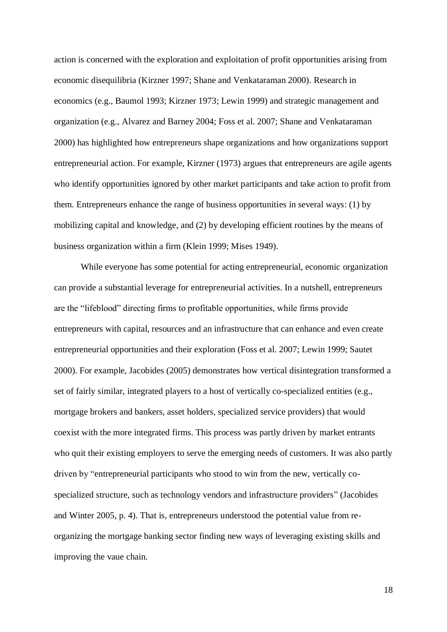action is concerned with the exploration and exploitation of profit opportunities arising from economic disequilibria (Kirzner 1997; Shane and Venkataraman 2000). Research in economics (e.g., Baumol 1993; Kirzner 1973; Lewin 1999) and strategic management and organization (e.g., Alvarez and Barney 2004; Foss et al. 2007; Shane and Venkataraman 2000) has highlighted how entrepreneurs shape organizations and how organizations support entrepreneurial action. For example, Kirzner (1973) argues that entrepreneurs are agile agents who identify opportunities ignored by other market participants and take action to profit from them. Entrepreneurs enhance the range of business opportunities in several ways: (1) by mobilizing capital and knowledge, and (2) by developing efficient routines by the means of business organization within a firm (Klein 1999; Mises 1949).

While everyone has some potential for acting entrepreneurial, economic organization can provide a substantial leverage for entrepreneurial activities. In a nutshell, entrepreneurs are the "lifeblood" directing firms to profitable opportunities, while firms provide entrepreneurs with capital, resources and an infrastructure that can enhance and even create entrepreneurial opportunities and their exploration (Foss et al. 2007; Lewin 1999; Sautet 2000). For example, Jacobides (2005) demonstrates how vertical disintegration transformed a set of fairly similar, integrated players to a host of vertically co-specialized entities (e.g., mortgage brokers and bankers, asset holders, specialized service providers) that would coexist with the more integrated firms. This process was partly driven by market entrants who quit their existing employers to serve the emerging needs of customers. It was also partly driven by "entrepreneurial participants who stood to win from the new, vertically cospecialized structure, such as technology vendors and infrastructure providers" (Jacobides and Winter 2005, p. 4). That is, entrepreneurs understood the potential value from reorganizing the mortgage banking sector finding new ways of leveraging existing skills and improving the vaue chain.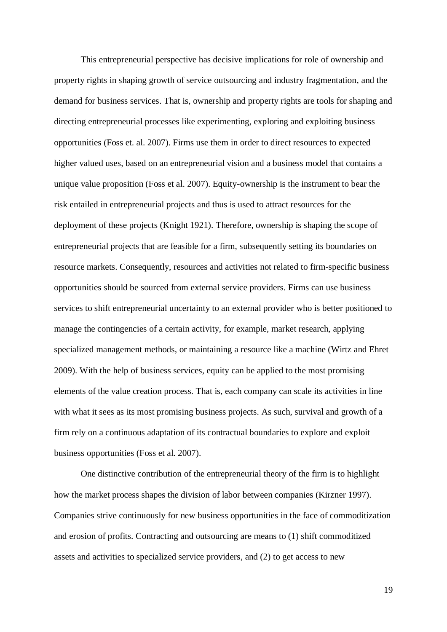This entrepreneurial perspective has decisive implications for role of ownership and property rights in shaping growth of service outsourcing and industry fragmentation, and the demand for business services. That is, ownership and property rights are tools for shaping and directing entrepreneurial processes like experimenting, exploring and exploiting business opportunities (Foss et. al. 2007). Firms use them in order to direct resources to expected higher valued uses, based on an entrepreneurial vision and a business model that contains a unique value proposition (Foss et al. 2007). Equity-ownership is the instrument to bear the risk entailed in entrepreneurial projects and thus is used to attract resources for the deployment of these projects (Knight 1921). Therefore, ownership is shaping the scope of entrepreneurial projects that are feasible for a firm, subsequently setting its boundaries on resource markets. Consequently, resources and activities not related to firm-specific business opportunities should be sourced from external service providers. Firms can use business services to shift entrepreneurial uncertainty to an external provider who is better positioned to manage the contingencies of a certain activity, for example, market research, applying specialized management methods, or maintaining a resource like a machine (Wirtz and Ehret 2009). With the help of business services, equity can be applied to the most promising elements of the value creation process. That is, each company can scale its activities in line with what it sees as its most promising business projects. As such, survival and growth of a firm rely on a continuous adaptation of its contractual boundaries to explore and exploit business opportunities (Foss et al. 2007).

One distinctive contribution of the entrepreneurial theory of the firm is to highlight how the market process shapes the division of labor between companies (Kirzner 1997). Companies strive continuously for new business opportunities in the face of commoditization and erosion of profits. Contracting and outsourcing are means to (1) shift commoditized assets and activities to specialized service providers, and (2) to get access to new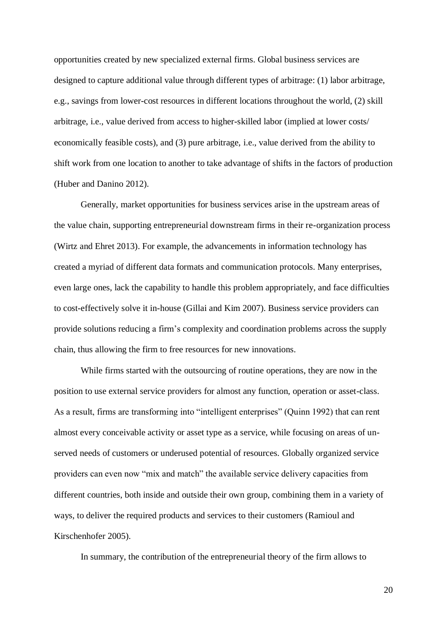opportunities created by new specialized external firms. Global business services are designed to capture additional value through different types of arbitrage: (1) labor arbitrage, e.g., savings from lower-cost resources in different locations throughout the world, (2) skill arbitrage, i.e., value derived from access to higher-skilled labor (implied at lower costs/ economically feasible costs), and (3) pure arbitrage, i.e., value derived from the ability to shift work from one location to another to take advantage of shifts in the factors of production (Huber and Danino 2012).

Generally, market opportunities for business services arise in the upstream areas of the value chain, supporting entrepreneurial downstream firms in their re-organization process (Wirtz and Ehret 2013). For example, the advancements in information technology has created a myriad of different data formats and communication protocols. Many enterprises, even large ones, lack the capability to handle this problem appropriately, and face difficulties to cost-effectively solve it in-house (Gillai and Kim 2007). Business service providers can provide solutions reducing a firm's complexity and coordination problems across the supply chain, thus allowing the firm to free resources for new innovations.

While firms started with the outsourcing of routine operations, they are now in the position to use external service providers for almost any function, operation or asset-class. As a result, firms are transforming into "intelligent enterprises" (Quinn 1992) that can rent almost every conceivable activity or asset type as a service, while focusing on areas of unserved needs of customers or underused potential of resources. Globally organized service providers can even now "mix and match" the available service delivery capacities from different countries, both inside and outside their own group, combining them in a variety of ways, to deliver the required products and services to their customers (Ramioul and Kirschenhofer 2005).

In summary, the contribution of the entrepreneurial theory of the firm allows to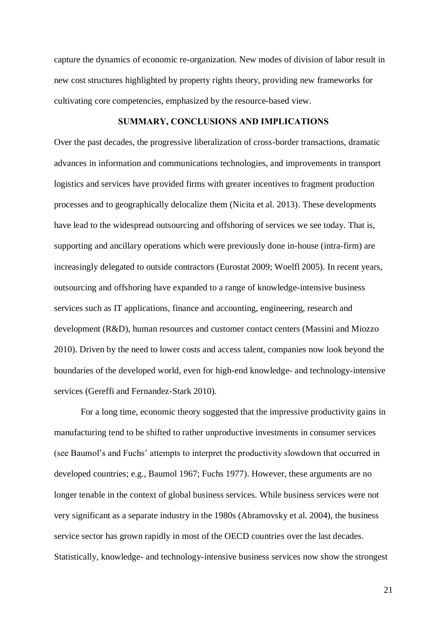capture the dynamics of economic re-organization. New modes of division of labor result in new cost structures highlighted by property rights theory, providing new frameworks for cultivating core competencies, emphasized by the resource-based view.

## SUMMARY, CONCLUSIONS AND IMPLICATIONS

Over the past decades, the progressive liberalization of cross-border transactions, dramatic advances in information and communications technologies, and improvements in transport logistics and services have provided firms with greater incentives to fragment production processes and to geographically delocalize them (Nicita et al. 2013). These developments have lead to the widespread outsourcing and offshoring of services we see today. That is, supporting and ancillary operations which were previously done in-house (intra-firm) are increasingly delegated to outside contractors (Eurostat 2009; Woelfl 2005). In recent years, outsourcing and offshoring have expanded to a range of knowledge-intensive business services such as IT applications, finance and accounting, engineering, research and development (R&D), human resources and customer contact centers (Massini and Miozzo 2010). Driven by the need to lower costs and access talent, companies now look beyond the boundaries of the developed world, even for high-end knowledge- and technology-intensive services (Gereffi and Fernandez-Stark 2010).

For a long time, economic theory suggested that the impressive productivity gains in manufacturing tend to be shifted to rather unproductive investments in consumer services (see Baumol's and Fuchs' attempts to interpret the productivity slowdown that occurred in developed countries; e.g., Baumol 1967; Fuchs 1977). However, these arguments are no longer tenable in the context of global business services. While business services were not very significant as a separate industry in the 1980s (Abramovsky et al. 2004), the business service sector has grown rapidly in most of the OECD countries over the last decades. Statistically, knowledge- and technology-intensive business services now show the strongest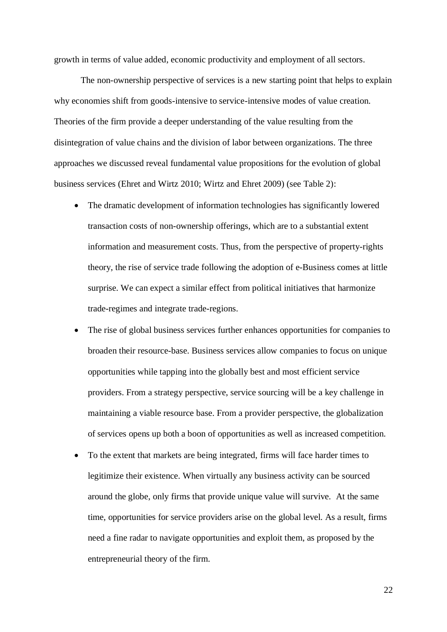growth in terms of value added, economic productivity and employment of all sectors.

The non-ownership perspective of services is a new starting point that helps to explain why economies shift from goods-intensive to service-intensive modes of value creation. Theories of the firm provide a deeper understanding of the value resulting from the disintegration of value chains and the division of labor between organizations. The three approaches we discussed reveal fundamental value propositions for the evolution of global business services (Ehret and Wirtz 2010; Wirtz and Ehret 2009) (see Table 2):

- The dramatic development of information technologies has significantly lowered transaction costs of non-ownership offerings, which are to a substantial extent information and measurement costs. Thus, from the perspective of property-rights theory, the rise of service trade following the adoption of e-Business comes at little surprise. We can expect a similar effect from political initiatives that harmonize trade-regimes and integrate trade-regions.
- The rise of global business services further enhances opportunities for companies to broaden their resource-base. Business services allow companies to focus on unique opportunities while tapping into the globally best and most efficient service providers. From a strategy perspective, service sourcing will be a key challenge in maintaining a viable resource base. From a provider perspective, the globalization of services opens up both a boon of opportunities as well as increased competition.
- To the extent that markets are being integrated, firms will face harder times to legitimize their existence. When virtually any business activity can be sourced around the globe, only firms that provide unique value will survive. At the same time, opportunities for service providers arise on the global level. As a result, firms need a fine radar to navigate opportunities and exploit them, as proposed by the entrepreneurial theory of the firm.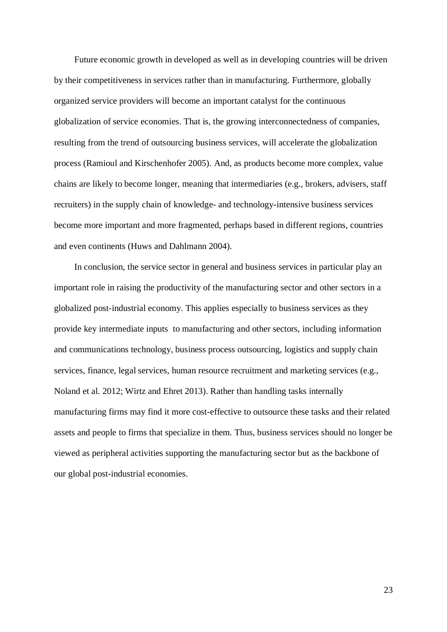Future economic growth in developed as well as in developing countries will be driven by their competitiveness in services rather than in manufacturing. Furthermore, globally organized service providers will become an important catalyst for the continuous globalization of service economies. That is, the growing interconnectedness of companies, resulting from the trend of outsourcing business services, will accelerate the globalization process (Ramioul and Kirschenhofer 2005). And, as products become more complex, value chains are likely to become longer, meaning that intermediaries (e.g., brokers, advisers, staff recruiters) in the supply chain of knowledge- and technology-intensive business services become more important and more fragmented, perhaps based in different regions, countries and even continents (Huws and Dahlmann 2004).

In conclusion, the service sector in general and business services in particular play an important role in raising the productivity of the manufacturing sector and other sectors in a globalized post-industrial economy. This applies especially to business services as they provide key intermediate inputs to manufacturing and other sectors, including information and communications technology, business process outsourcing, logistics and supply chain services, finance, legal services, human resource recruitment and marketing services (e.g., Noland et al. 2012; Wirtz and Ehret 2013). Rather than handling tasks internally manufacturing firms may find it more cost-effective to outsource these tasks and their related assets and people to firms that specialize in them. Thus, business services should no longer be viewed as peripheral activities supporting the manufacturing sector but as the backbone of our global post-industrial economies.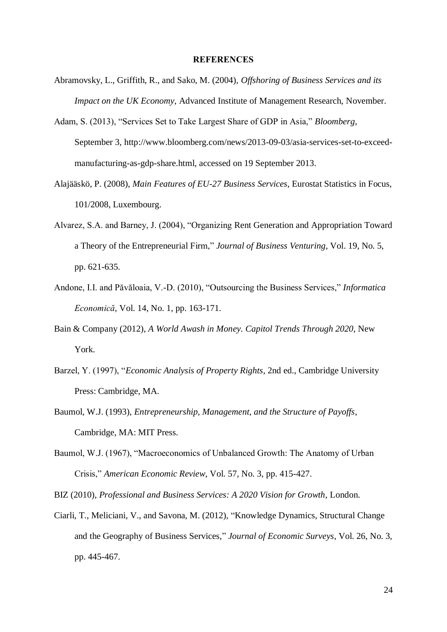#### **REFERENCES**

- Abramovsky, L., Griffith, R., and Sako, M. (2004), *Offshoring of Business Services and its Impact on the UK Economy*, Advanced Institute of Management Research, November.
- Adam, S. (2013), "Services Set to Take Largest Share of GDP in Asia," *Bloomberg*, September 3, http://www.bloomberg.com/news/2013-09-03/asia-services-set-to-exceedmanufacturing-as-gdp-share.html, accessed on 19 September 2013.
- Alajääskö, P. (2008), *Main Features of EU-27 Business Services*, Eurostat Statistics in Focus, 101/2008, Luxembourg.
- Alvarez, S.A. and Barney, J. (2004), "Organizing Rent Generation and Appropriation Toward a Theory of the Entrepreneurial Firm," *Journal of Business Venturing*, Vol. 19, No. 5, pp. 621-635.
- Andone, I.I. and Păvăloaia, V.-D. (2010), "Outsourcing the Business Services," *Informatica Economică*, Vol. 14, No. 1, pp. 163-171.
- Bain & Company (2012), *A World Awash in Money. Capitol Trends Through 2020*, New York.
- Barzel, Y. (1997), "*Economic Analysis of Property Rights*, 2nd ed., Cambridge University Press: Cambridge, MA.
- Baumol, W.J. (1993), *Entrepreneurship, Management, and the Structure of Payoffs*, Cambridge, MA: MIT Press.
- Baumol, W.J. (1967), "Macroeconomics of Unbalanced Growth: The Anatomy of Urban Crisis," *American Economic Review*, Vol. 57, No. 3, pp. 415-427.

BIZ (2010), *Professional and Business Services: A 2020 Vision for Growth*, London.

Ciarli, T., Meliciani, V., and Savona, M. (2012), "Knowledge Dynamics, Structural Change and the Geography of Business Services," *Journal of Economic Surveys*, Vol. 26, No. 3, pp. 445-467.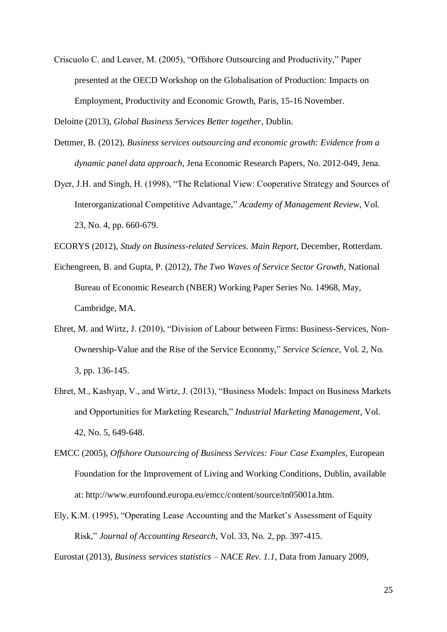Criscuolo C. and Leaver, M. (2005), "Offshore Outsourcing and Productivity," Paper presented at the OECD Workshop on the Globalisation of Production: Impacts on Employment, Productivity and Economic Growth, Paris, 15-16 November.

Deloitte (2013), *Global Business Services Better together*, Dublin.

- Dettmer, B. (2012), *Business services outsourcing and economic growth: Evidence from a dynamic panel data approach*, Jena Economic Research Papers, No. 2012-049, Jena.
- Dyer, J.H. and Singh, H. (1998), "The Relational View: Cooperative Strategy and Sources of Interorganizational Competitive Advantage," *Academy of Management Review*, Vol. 23, No. 4, pp. 660-679.

ECORYS (2012), *Study on Business-related Services. Main Report*, December, Rotterdam.

- Eichengreen, B. and Gupta, P. (2012), *The Two Waves of Service Sector Growth*, National Bureau of Economic Research (NBER) Working Paper Series No. 14968, May, Cambridge, MA.
- Ehret, M. and Wirtz, J. (2010), "Division of Labour between Firms: Business-Services, Non-Ownership-Value and the Rise of the Service Economy," *Service Science*, Vol. 2, No. 3, pp. 136-145.
- Ehret, M., Kashyap, V., and Wirtz, J. (2013), "Business Models: Impact on Business Markets and Opportunities for Marketing Research," *Industrial Marketing Management*, Vol. 42, No. 5, 649-648.
- EMCC (2005), *Offshore Outsourcing of Business Services: Four Case Examples*, European Foundation for the Improvement of Living and Working Conditions, Dublin, available at: http://www.eurofound.europa.eu/emcc/content/source/tn05001a.htm.
- Ely, K.M. (1995), "Operating Lease Accounting and the Market's Assessment of Equity Risk," *Journal of Accounting Research*, Vol. 33, No. 2, pp. 397-415.

Eurostat (2013), *Business services statistics – NACE Rev. 1.1*, Data from January 2009,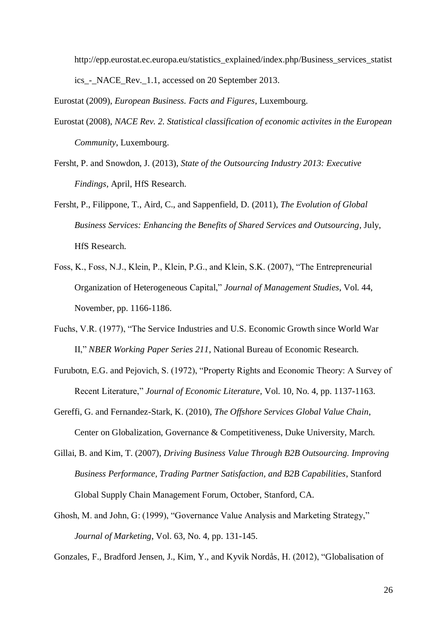http://epp.eurostat.ec.europa.eu/statistics\_explained/index.php/Business\_services\_statist ics - NACE Rev. 1.1, accessed on 20 September 2013.

Eurostat (2009), *European Business. Facts and Figures*, Luxembourg.

- Eurostat (2008), *NACE Rev. 2. Statistical classification of economic activites in the European Community*, Luxembourg.
- Fersht, P. and Snowdon, J. (2013), *State of the Outsourcing Industry 2013: Executive Findings*, April, HfS Research.
- Fersht, P., Filippone, T., Aird, C., and Sappenfield, D. (2011), *The Evolution of Global Business Services: Enhancing the Benefits of Shared Services and Outsourcing*, July, HfS Research.
- Foss, K., Foss, N.J., Klein, P., Klein, P.G., and Klein, S.K. (2007), "The Entrepreneurial Organization of Heterogeneous Capital," *Journal of Management Studies*, Vol. 44, November, pp. 1166-1186.
- Fuchs, V.R. (1977), "The Service Industries and U.S. Economic Growth since World War II," *NBER Working Paper Series 211*, National Bureau of Economic Research.
- Furubotn, E.G. and Pejovich, S. (1972), "Property Rights and Economic Theory: A Survey of Recent Literature," *Journal of Economic Literature*, Vol. 10, No. 4, pp. 1137-1163.
- Gereffi, G. and Fernandez-Stark, K. (2010), *The Offshore Services Global Value Chain*, Center on Globalization, Governance & Competitiveness, Duke University, March.
- Gillai, B. and Kim, T. (2007), *Driving Business Value Through B2B Outsourcing. Improving Business Performance, Trading Partner Satisfaction, and B2B Capabilities*, Stanford Global Supply Chain Management Forum, October, Stanford, CA.
- Ghosh, M. and John, G: (1999), "Governance Value Analysis and Marketing Strategy," *Journal of Marketing*, Vol. 63, No. 4, pp. 131-145.

Gonzales, F., Bradford Jensen, J., Kim, Y., and Kyvik Nordås, H. (2012), "Globalisation of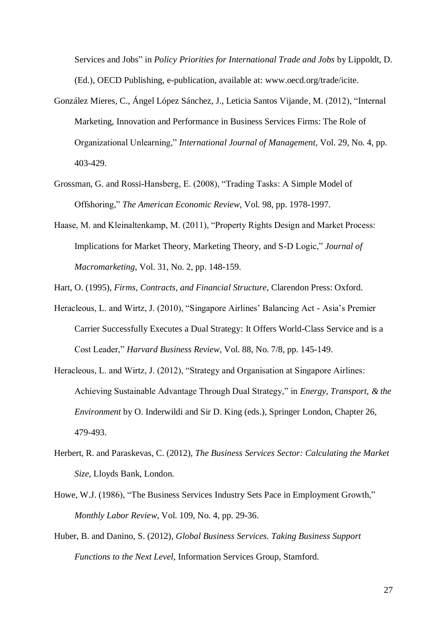Services and Jobs" in *Policy Priorities for International Trade and Jobs* by Lippoldt, D. (Ed.), OECD Publishing, e-publication, available at: www.oecd.org/trade/icite.

- González Mieres, C., Ángel López Sánchez, J., Leticia Santos Vijande, M. (2012), "Internal Marketing, Innovation and Performance in Business Services Firms: The Role of Organizational Unlearning," *International Journal of Management*, Vol. 29, No. 4, pp. 403-429.
- Grossman, G. and Rossi-Hansberg, E. (2008), "Trading Tasks: A Simple Model of Offshoring," *The American Economic Review*, Vol. 98, pp. 1978-1997.
- Haase, M. and Kleinaltenkamp, M. (2011), "Property Rights Design and Market Process: Implications for Market Theory, Marketing Theory, and S-D Logic," *Journal of Macromarketing*, Vol. 31, No. 2, pp. 148-159.
- Hart, O. (1995), *Firms, Contracts, and Financial Structure*, Clarendon Press: Oxford.
- Heracleous, L. and Wirtz, J. (2010), "Singapore Airlines' Balancing Act Asia's Premier Carrier Successfully Executes a Dual Strategy: It Offers World-Class Service and is a Cost Leader," *Harvard Business Review*, Vol. 88, No. 7/8, pp. 145-149.
- Heracleous, L. and Wirtz, J. (2012), "Strategy and Organisation at Singapore Airlines: Achieving Sustainable Advantage Through Dual Strategy," in *Energy, Transport, & the Environment* by O. Inderwildi and Sir D. King (eds.), Springer London, Chapter 26, 479-493.
- Herbert, R. and Paraskevas, C. (2012), *The Business Services Sector: Calculating the Market Size*, Lloyds Bank, London.
- Howe, W.J. (1986), "The Business Services Industry Sets Pace in Employment Growth," *Monthly Labor Review*, Vol. 109, No. 4, pp. 29-36.
- Huber, B. and Danino, S. (2012), *Global Business Services. Taking Business Support Functions to the Next Level*, Information Services Group, Stamford.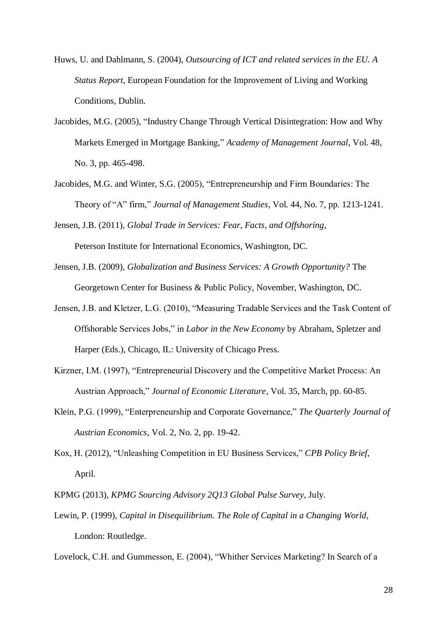- Huws, U. and Dahlmann, S. (2004), *Outsourcing of ICT and related services in the EU. A Status Report*, European Foundation for the Improvement of Living and Working Conditions, Dublin.
- Jacobides, M.G. (2005), "Industry Change Through Vertical Disintegration: How and Why Markets Emerged in Mortgage Banking," *Academy of Management Journal*, Vol. 48, No. 3, pp. 465-498.
- Jacobides, M.G. and Winter, S.G. (2005), "Entrepreneurship and Firm Boundaries: The Theory of "A" firm," *Journal of Management Studies*, Vol. 44, No. 7, pp. 1213-1241.
- Jensen, J.B. (2011), *Global Trade in Services: Fear, Facts, and Offshoring*, Peterson Institute for International Economics, Washington, DC.
- Jensen, J.B. (2009), *Globalization and Business Services: A Growth Opportunity?* The Georgetown Center for Business & Public Policy, November, Washington, DC.
- Jensen, J.B. and Kletzer, L.G. (2010), "Measuring Tradable Services and the Task Content of Offshorable Services Jobs," in *Labor in the New Economy* by Abraham, Spletzer and Harper (Eds.), Chicago, IL: University of Chicago Press.
- Kirzner, I.M. (1997), "Entrepreneurial Discovery and the Competitive Market Process: An Austrian Approach," *Journal of Economic Literature*, Vol. 35, March, pp. 60-85.
- Klein, P.G. (1999), "Enterpreneurship and Corporate Governance," *The Quarterly Journal of Austrian Economics*, Vol. 2, No. 2, pp. 19-42.
- Kox, H. (2012), "Unleashing Competition in EU Business Services," *CPB Policy Brief*, April.
- KPMG (2013), *KPMG Sourcing Advisory 2Q13 Global Pulse Survey*, July.
- Lewin, P. (1999), *Capital in Disequilibrium. The Role of Capital in a Changing World*, London: Routledge.

Lovelock, C.H. and Gummesson, E. (2004), "Whither Services Marketing? In Search of a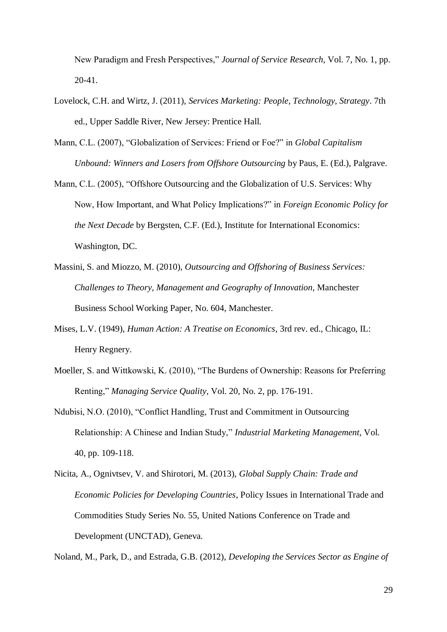New Paradigm and Fresh Perspectives," *Journal of Service Research*, Vol. 7, No. 1, pp. 20-41.

- Lovelock, C.H. and Wirtz, J. (2011), *Services Marketing: People, Technology, Strategy*. 7th ed., Upper Saddle River, New Jersey: Prentice Hall.
- Mann, C.L. (2007), "Globalization of Services: Friend or Foe?" in *Global Capitalism Unbound: Winners and Losers from Offshore Outsourcing* by Paus, E. (Ed.), Palgrave.
- Mann, C.L. (2005), "Offshore Outsourcing and the Globalization of U.S. Services: Why Now, How Important, and What Policy Implications?" in *Foreign Economic Policy for the Next Decade* by Bergsten, C.F. (Ed.), Institute for International Economics: Washington, DC.
- Massini, S. and Miozzo, M. (2010), *Outsourcing and Offshoring of Business Services: Challenges to Theory, Management and Geography of Innovation*, Manchester Business School Working Paper, No. 604, Manchester.
- Mises, L.V. (1949), *Human Action: A Treatise on Economics*, 3rd rev. ed., Chicago, IL: Henry Regnery.
- Moeller, S. and Wittkowski, K. (2010), "The Burdens of Ownership: Reasons for Preferring Renting," *Managing Service Quality*, Vol. 20, No. 2, pp. 176-191.
- Ndubisi, N.O. (2010), "Conflict Handling, Trust and Commitment in Outsourcing Relationship: A Chinese and Indian Study," *Industrial Marketing Management*, Vol. 40, pp. 109-118.
- Nicita, A., Ognivtsev, V. and Shirotori, M. (2013), *Global Supply Chain: Trade and Economic Policies for Developing Countries*, Policy Issues in International Trade and Commodities Study Series No. 55, United Nations Conference on Trade and Development (UNCTAD), Geneva.

Noland, M., Park, D., and Estrada, G.B. (2012), *Developing the Services Sector as Engine of*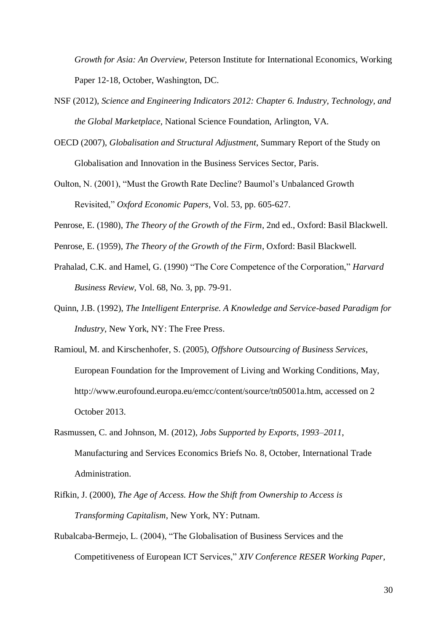*Growth for Asia: An Overview*, Peterson Institute for International Economics, Working Paper 12-18, October, Washington, DC.

- NSF (2012), *Science and Engineering Indicators 2012: Chapter 6. Industry, Technology, and the Global Marketplace*, National Science Foundation, Arlington, VA.
- OECD (2007), *Globalisation and Structural Adjustment*, Summary Report of the Study on Globalisation and Innovation in the Business Services Sector, Paris.
- Oulton, N. (2001), "Must the Growth Rate Decline? Baumol's Unbalanced Growth Revisited," *Oxford Economic Papers*, Vol. 53, pp. 605-627.

Penrose, E. (1980), *The Theory of the Growth of the Firm*, 2nd ed., Oxford: Basil Blackwell.

- Penrose, E. (1959), *The Theory of the Growth of the Firm*, Oxford: Basil Blackwell.
- Prahalad, C.K. and Hamel, G. (1990) "The Core Competence of the Corporation," *Harvard Business Review*, Vol. 68, No. 3, pp. 79-91.
- Quinn, J.B. (1992), *The Intelligent Enterprise. A Knowledge and Service-based Paradigm for Industry*, New York, NY: The Free Press.
- Ramioul, M. and Kirschenhofer, S. (2005), *Offshore Outsourcing of Business Services*, European Foundation for the Improvement of Living and Working Conditions, May, http://www.eurofound.europa.eu/emcc/content/source/tn05001a.htm, accessed on 2 October 2013.
- Rasmussen, C. and Johnson, M. (2012), *Jobs Supported by Exports, 1993–2011*, Manufacturing and Services Economics Briefs No. 8, October, International Trade Administration.
- Rifkin, J. (2000), *The Age of Access. How the Shift from Ownership to Access is Transforming Capitalism*, New York, NY: Putnam.
- Rubalcaba-Bermejo, L. (2004), "The Globalisation of Business Services and the Competitiveness of European ICT Services," *XIV Conference RESER Working Paper*,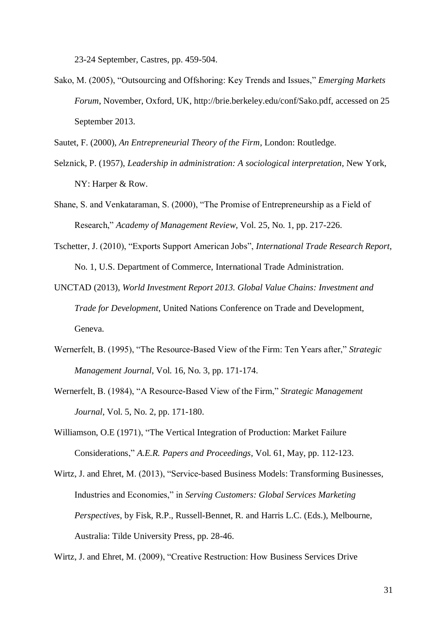23-24 September, Castres, pp. 459-504.

Sako, M. (2005), "Outsourcing and Offshoring: Key Trends and Issues," *Emerging Markets Forum*, November, Oxford, UK, http://brie.berkeley.edu/conf/Sako.pdf, accessed on 25 September 2013.

Sautet, F. (2000), *An Entrepreneurial Theory of the Firm*, London: Routledge.

- Selznick, P. (1957), *Leadership in administration: A sociological interpretation*, New York, NY: Harper & Row.
- Shane, S. and Venkataraman, S. (2000), "The Promise of Entrepreneurship as a Field of Research," *Academy of Management Review*, Vol. 25, No. 1, pp. 217-226.
- Tschetter, J. (2010), "Exports Support American Jobs", *International Trade Research Report*, No. 1, U.S. Department of Commerce, International Trade Administration.
- UNCTAD (2013), *World Investment Report 2013. Global Value Chains: Investment and Trade for Development*, United Nations Conference on Trade and Development, Geneva.
- Wernerfelt, B. (1995), "The Resource-Based View of the Firm: Ten Years after," *Strategic Management Journal*, Vol. 16, No. 3, pp. 171-174.
- Wernerfelt, B. (1984), "A Resource-Based View of the Firm," *Strategic Management Journal*, Vol. 5, No. 2, pp. 171-180.
- Williamson, O.E (1971), "The Vertical Integration of Production: Market Failure Considerations," *A.E.R. Papers and Proceedings*, Vol. 61, May, pp. 112-123.
- Wirtz, J. and Ehret, M. (2013), "Service-based Business Models: Transforming Businesses, Industries and Economies," in *Serving Customers: Global Services Marketing Perspectives*, by Fisk, R.P., Russell-Bennet, R. and Harris L.C. (Eds.), Melbourne, Australia: Tilde University Press, pp. 28-46.

Wirtz, J. and Ehret, M. (2009), "Creative Restruction: How Business Services Drive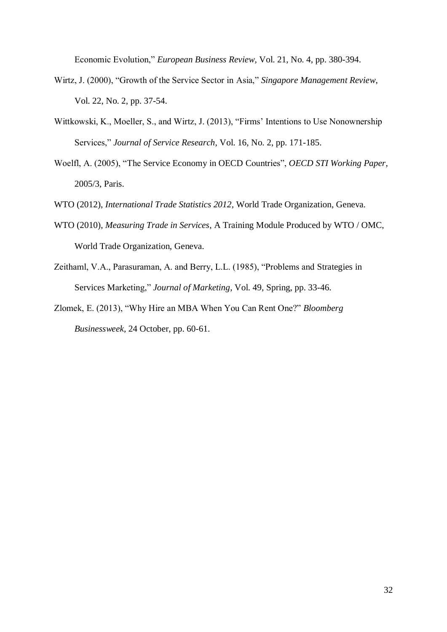Economic Evolution," *European Business Review*, Vol. 21, No. 4, pp. 380-394.

- Wirtz, J. (2000), "Growth of the Service Sector in Asia," *Singapore Management Review*, Vol. 22, No. 2, pp. 37-54.
- Wittkowski, K., Moeller, S., and Wirtz, J. (2013), "Firms' Intentions to Use Nonownership Services," *Journal of Service Research*, Vol. 16, No. 2, pp. 171-185.
- Woelfl, A. (2005), "The Service Economy in OECD Countries", *OECD STI Working Paper*, 2005/3, Paris.
- WTO (2012), *International Trade Statistics 2012*, World Trade Organization, Geneva.
- WTO (2010), *Measuring Trade in Services*, A Training Module Produced by WTO / OMC, World Trade Organization, Geneva.
- Zeithaml, V.A., Parasuraman, A. and Berry, L.L. (1985), "Problems and Strategies in Services Marketing," *Journal of Marketing*, Vol. 49, Spring, pp. 33-46.
- Zlomek, E. (2013), "Why Hire an MBA When You Can Rent One?" *Bloomberg Businessweek*, 24 October, pp. 60-61.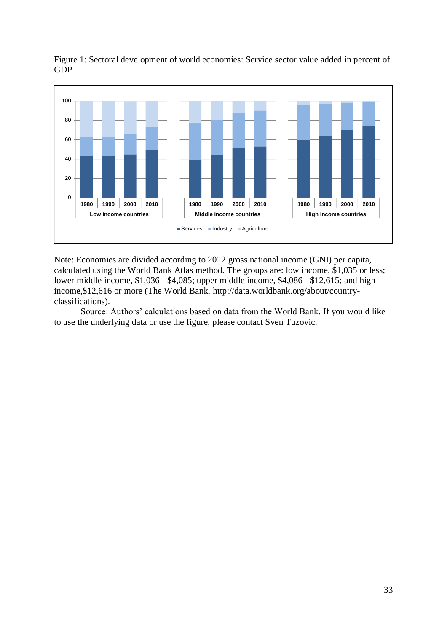

Figure 1: Sectoral development of world economies: Service sector value added in percent of GDP

Note: Economies are divided according to 2012 gross national income (GNI) per capita, calculated using the World Bank Atlas method. The groups are: low income, \$1,035 or less; lower middle income, \$1,036 - \$4,085; upper middle income, \$4,086 - \$12,615; and high income,\$12,616 or more (The World Bank, http://data.worldbank.org/about/countryclassifications).

Source: Authors' calculations based on data from the World Bank. If you would like to use the underlying data or use the figure, please contact Sven Tuzovic.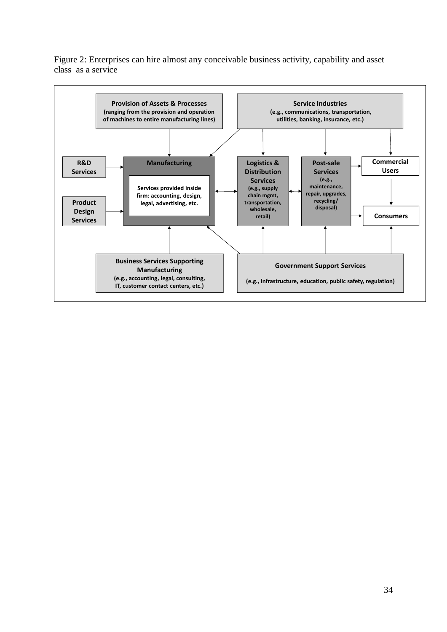Figure 2: Enterprises can hire almost any conceivable business activity, capability and asset class as a service

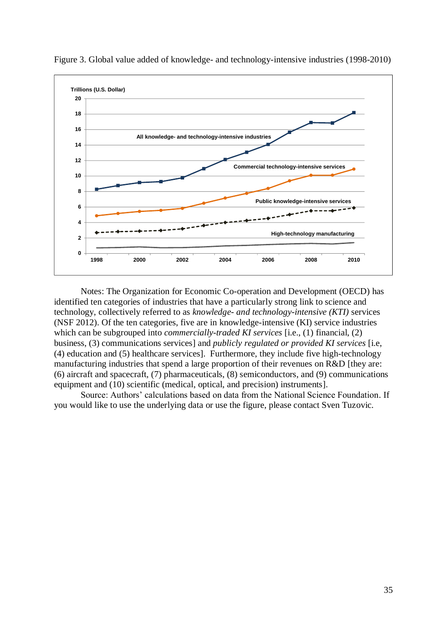

Figure 3. Global value added of knowledge- and technology-intensive industries (1998-2010)

Notes: The Organization for Economic Co-operation and Development (OECD) has identified ten categories of industries that have a particularly strong link to science and technology, collectively referred to as *knowledge- and technology-intensive (KTI)* services (NSF 2012). Of the ten categories, five are in knowledge-intensive (KI) service industries which can be subgrouped into *commercially-traded KI services* [i.e., (1) financial, (2) business, (3) communications services] and *publicly regulated or provided KI services* [i.e, (4) education and (5) healthcare services]. Furthermore, they include five high-technology manufacturing industries that spend a large proportion of their revenues on R&D [they are: (6) aircraft and spacecraft, (7) pharmaceuticals, (8) semiconductors, and (9) communications equipment and (10) scientific (medical, optical, and precision) instruments].

Source: Authors' calculations based on data from the National Science Foundation. If you would like to use the underlying data or use the figure, please contact Sven Tuzovic.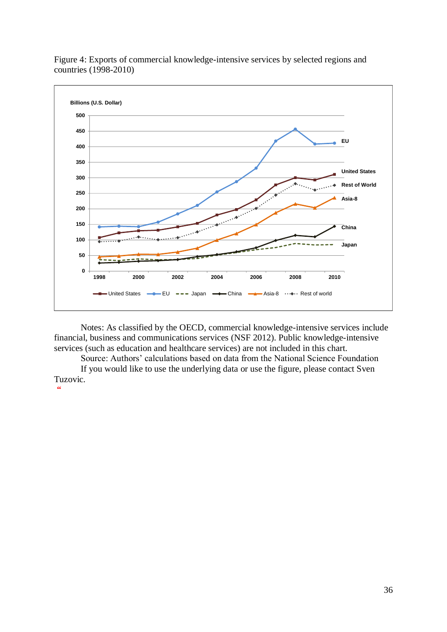

Figure 4: Exports of commercial knowledge-intensive services by selected regions and countries (1998-2010)

Notes: As classified by the OECD, commercial knowledge-intensive services include financial, business and communications services (NSF 2012). Public knowledge-intensive services (such as education and healthcare services) are not included in this chart.

Source: Authors' calculations based on data from the National Science Foundation

If you would like to use the underlying data or use the figure, please contact Sven Tuzovic. *"*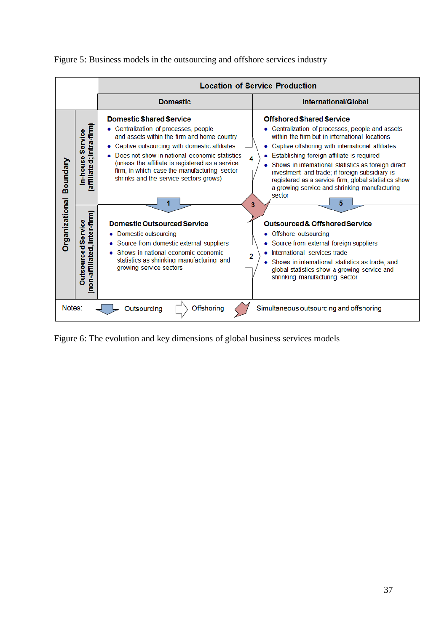Figure 5: Business models in the outsourcing and offshore services industry



Figure 6: The evolution and key dimensions of global business services models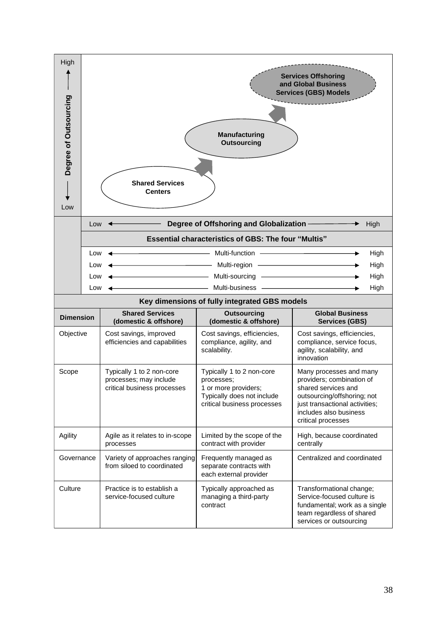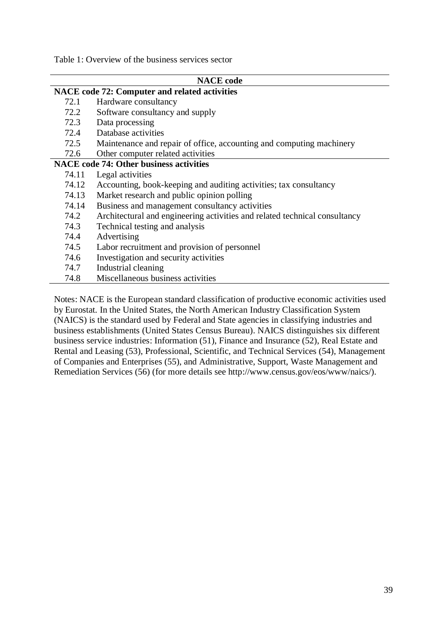Table 1: Overview of the business services sector

| <b>NACE</b> code                                     |                                                                            |  |  |  |  |  |  |  |  |
|------------------------------------------------------|----------------------------------------------------------------------------|--|--|--|--|--|--|--|--|
| <b>NACE</b> code 72: Computer and related activities |                                                                            |  |  |  |  |  |  |  |  |
| 72.1                                                 | Hardware consultancy                                                       |  |  |  |  |  |  |  |  |
| 72.2                                                 | Software consultancy and supply                                            |  |  |  |  |  |  |  |  |
| 72.3                                                 | Data processing                                                            |  |  |  |  |  |  |  |  |
| 72.4                                                 | Database activities                                                        |  |  |  |  |  |  |  |  |
| 72.5                                                 | Maintenance and repair of office, accounting and computing machinery       |  |  |  |  |  |  |  |  |
| 72.6                                                 | Other computer related activities                                          |  |  |  |  |  |  |  |  |
|                                                      | <b>NACE</b> code 74: Other business activities                             |  |  |  |  |  |  |  |  |
| 74.11                                                | Legal activities                                                           |  |  |  |  |  |  |  |  |
| 74.12                                                | Accounting, book-keeping and auditing activities; tax consultancy          |  |  |  |  |  |  |  |  |
| 74.13                                                | Market research and public opinion polling                                 |  |  |  |  |  |  |  |  |
| 74.14                                                | Business and management consultancy activities                             |  |  |  |  |  |  |  |  |
| 74.2                                                 | Architectural and engineering activities and related technical consultancy |  |  |  |  |  |  |  |  |
| 74.3                                                 | Technical testing and analysis                                             |  |  |  |  |  |  |  |  |
| 74.4                                                 | Advertising                                                                |  |  |  |  |  |  |  |  |
| 74.5                                                 | Labor recruitment and provision of personnel                               |  |  |  |  |  |  |  |  |
| 74.6                                                 | Investigation and security activities                                      |  |  |  |  |  |  |  |  |
| 74.7                                                 | Industrial cleaning                                                        |  |  |  |  |  |  |  |  |
| 74.8                                                 | Miscellaneous business activities                                          |  |  |  |  |  |  |  |  |
|                                                      |                                                                            |  |  |  |  |  |  |  |  |

Notes: NACE is the European standard classification of productive economic activities used by Eurostat. In the United States, the North American Industry Classification System (NAICS) is the standard used by Federal and State agencies in classifying industries and business establishments (United States Census Bureau). NAICS distinguishes six different business service industries: Information (51), Finance and Insurance (52), Real Estate and Rental and Leasing (53), Professional, Scientific, and Technical Services (54), Management of Companies and Enterprises (55), and Administrative, Support, Waste Management and Remediation Services (56) (for more details see http://www.census.gov/eos/www/naics/).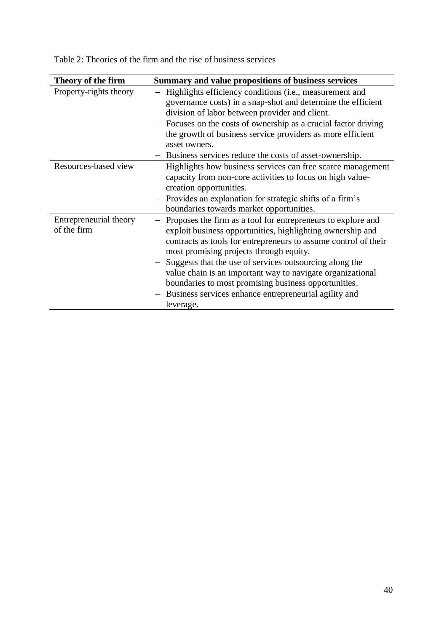| Theory of the firm                    | Summary and value propositions of business services                                                                                                                                                                                                                                                                                                                                                                                                                                               |  |  |  |  |  |
|---------------------------------------|---------------------------------------------------------------------------------------------------------------------------------------------------------------------------------------------------------------------------------------------------------------------------------------------------------------------------------------------------------------------------------------------------------------------------------------------------------------------------------------------------|--|--|--|--|--|
| Property-rights theory                | Highlights efficiency conditions (i.e., measurement and<br>governance costs) in a snap-shot and determine the efficient<br>division of labor between provider and client.<br>Focuses on the costs of ownership as a crucial factor driving<br>the growth of business service providers as more efficient<br>asset owners.<br>- Business services reduce the costs of asset-ownership.                                                                                                             |  |  |  |  |  |
| Resources-based view                  | Highlights how business services can free scarce management<br>capacity from non-core activities to focus on high value-<br>creation opportunities.<br>- Provides an explanation for strategic shifts of a firm's<br>boundaries towards market opportunities.                                                                                                                                                                                                                                     |  |  |  |  |  |
| Entrepreneurial theory<br>of the firm | Proposes the firm as a tool for entrepreneurs to explore and<br>exploit business opportunities, highlighting ownership and<br>contracts as tools for entrepreneurs to assume control of their<br>most promising projects through equity.<br>- Suggests that the use of services outsourcing along the<br>value chain is an important way to navigate organizational<br>boundaries to most promising business opportunities.<br>Business services enhance entrepreneurial agility and<br>leverage. |  |  |  |  |  |

Table 2: Theories of the firm and the rise of business services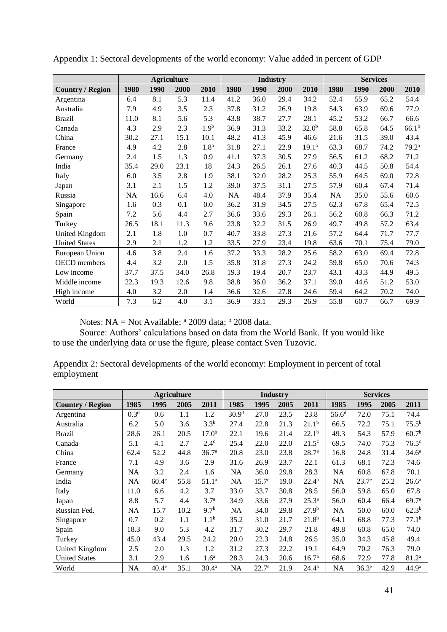|                         |      |      | <b>Agriculture</b> |                  |           |      | <b>Industry</b> |                   | <b>Services</b> |      |      |                   |
|-------------------------|------|------|--------------------|------------------|-----------|------|-----------------|-------------------|-----------------|------|------|-------------------|
| <b>Country / Region</b> | 1980 | 1990 | 2000               | 2010             | 1980      | 1990 | 2000            | 2010              | 1980            | 1990 | 2000 | 2010              |
| Argentina               | 6.4  | 8.1  | 5.3                | 11.4             | 41.2      | 36.0 | 29.4            | 34.2              | 52.4            | 55.9 | 65.2 | 54.4              |
| Australia               | 7.9  | 4.9  | 3.5                | 2.3              | 37.8      | 31.2 | 26.9            | 19.8              | 54.3            | 63.9 | 69.6 | 77.9              |
| Brazil                  | 11.0 | 8.1  | 5.6                | 5.3              | 43.8      | 38.7 | 27.7            | 28.1              | 45.2            | 53.2 | 66.7 | 66.6              |
| Canada                  | 4.3  | 2.9  | 2.3                | 1.9 <sup>b</sup> | 36.9      | 31.3 | 33.2            | 32.0 <sup>b</sup> | 58.8            | 65.8 | 64.5 | 66.1 <sup>b</sup> |
| China                   | 30.2 | 27.1 | 15.1               | 10.1             | 48.2      | 41.3 | 45.9            | 46.6              | 21.6            | 31.5 | 39.0 | 43.4              |
| France                  | 4.9  | 4.2  | 2.8                | 1.8 <sup>a</sup> | 31.8      | 27.1 | 22.9            | 19.1 <sup>a</sup> | 63.3            | 68.7 | 74.2 | 79.2 <sup>a</sup> |
| Germany                 | 2.4  | 1.5  | 1.3                | 0.9              | 41.1      | 37.3 | 30.5            | 27.9              | 56.5            | 61.2 | 68.2 | 71.2              |
| India                   | 35.4 | 29.0 | 23.1               | 18               | 24.3      | 26.5 | 26.1            | 27.6              | 40.3            | 44.5 | 50.8 | 54.4              |
| Italy                   | 6.0  | 3.5  | 2.8                | 1.9              | 38.1      | 32.0 | 28.2            | 25.3              | 55.9            | 64.5 | 69.0 | 72.8              |
| Japan                   | 3.1  | 2.1  | 1.5                | 1.2              | 39.0      | 37.5 | 31.1            | 27.5              | 57.9            | 60.4 | 67.4 | 71.4              |
| Russia                  | NA   | 16.6 | 6.4                | 4.0              | <b>NA</b> | 48.4 | 37.9            | 35.4              | NA              | 35.0 | 55.6 | 60.6              |
| Singapore               | 1.6  | 0.3  | 0.1                | 0.0              | 36.2      | 31.9 | 34.5            | 27.5              | 62.3            | 67.8 | 65.4 | 72.5              |
| Spain                   | 7.2  | 5.6  | 4.4                | 2.7              | 36.6      | 33.6 | 29.3            | 26.1              | 56.2            | 60.8 | 66.3 | 71.2              |
| Turkey                  | 26.5 | 18.1 | 11.3               | 9.6              | 23.8      | 32.2 | 31.5            | 26.9              | 49.7            | 49.8 | 57.2 | 63.4              |
| <b>United Kingdom</b>   | 2.1  | 1.8  | 1.0                | 0.7              | 40.7      | 33.8 | 27.3            | 21.6              | 57.2            | 64.4 | 71.7 | 77.7              |
| <b>United States</b>    | 2.9  | 2.1  | 1.2                | 1.2              | 33.5      | 27.9 | 23.4            | 19.8              | 63.6            | 70.1 | 75.4 | 79.0              |
| European Union          | 4.6  | 3.8  | 2.4                | 1.6              | 37.2      | 33.3 | 28.2            | 25.6              | 58.2            | 63.0 | 69.4 | 72.8              |
| <b>OECD</b> members     | 4.4  | 3.2  | 2.0                | 1.5              | 35.8      | 31.8 | 27.3            | 24.2              | 59.8            | 65.0 | 70.6 | 74.3              |
| Low income              | 37.7 | 37.5 | 34.0               | 26.8             | 19.3      | 19.4 | 20.7            | 23.7              | 43.1            | 43.3 | 44.9 | 49.5              |
| Middle income           | 22.3 | 19.3 | 12.6               | 9.8              | 38.8      | 36.0 | 36.2            | 37.1              | 39.0            | 44.6 | 51.2 | 53.0              |
| High income             | 4.0  | 3.2  | 2.0                | 1.4              | 36.6      | 32.6 | 27.8            | 24.6              | 59.4            | 64.2 | 70.2 | 74.0              |
| World                   | 7.3  | 6.2  | 4.0                | 3.1              | 36.9      | 33.1 | 29.3            | 26.9              | 55.8            | 60.7 | 66.7 | 69.9              |

Appendix 1: Sectoral developments of the world economy: Value added in percent of GDP

Notes: NA = Not Available; <sup>a</sup> 2009 data; <sup>b</sup> 2008 data.

Source: Authors' calculations based on data from the World Bank. If you would like to use the underlying data or use the figure, please contact Sven Tuzovic.

Appendix 2: Sectoral developments of the world economy: Employment in percent of total employment

|                         |                  |                   | <b>Agriculture</b> |                   | Industry          |                   |      |                   | <b>Services</b>   |                   |      |                   |
|-------------------------|------------------|-------------------|--------------------|-------------------|-------------------|-------------------|------|-------------------|-------------------|-------------------|------|-------------------|
| <b>Country / Region</b> | 1985             | 1995              | 2005               | 2011              | 1985              | 1995              | 2005 | 2011              | 1985              | 1995              | 2005 | 2011              |
| Argentina               | 0.3 <sup>d</sup> | 0.6               | 1.1                | 1.2               | 30.9 <sup>d</sup> | 27.0              | 23.5 | 23.8              | 56.6 <sup>d</sup> | 72.0              | 75.1 | 74.4              |
| Australia               | 6.2              | 5.0               | 3.6                | $3.3^{b}$         | 27.4              | 22.8              | 21.3 | 21.1 <sup>b</sup> | 66.5              | 72.2              | 75.1 | $75.5^{b}$        |
| <b>Brazil</b>           | 28.6             | 26.1              | 20.5               | 17.0 <sup>b</sup> | 22.1              | 19.6              | 21.4 | 22.1 <sup>b</sup> | 49.3              | 54.3              | 57.9 | 60.7 <sup>b</sup> |
| Canada                  | 5.1              | 4.1               | 2.7                | $2.4^\circ$       | 25.4              | 22.0              | 22.0 | $21.5^{\circ}$    | 69.5              | 74.0              | 75.3 | $76.5^{\circ}$    |
| China                   | 62.4             | 52.2              | 44.8               | 36.7 <sup>a</sup> | 20.8              | 23.0              | 23.8 | 28.7 <sup>a</sup> | 16.8              | 24.8              | 31.4 | 34.6 <sup>a</sup> |
| France                  | 7.1              | 4.9               | 3.6                | 2.9               | 31.6              | 26.9              | 23.7 | 22.1              | 61.3              | 68.1              | 72.3 | 74.6              |
| Germany                 | NA               | 3.2               | 2.4                | 1.6               | <b>NA</b>         | 36.0              | 29.8 | 28.3              | NA                | 60.8              | 67.8 | 70.1              |
| India                   | <b>NA</b>        | $60.4^\mathrm{e}$ | 55.8               | 51.1 <sup>a</sup> | <b>NA</b>         | 15.7 <sup>e</sup> | 19.0 | $22.4^{\rm a}$    | NA                | 23.7 <sup>e</sup> | 25.2 | $26.6^a$          |
| Italy                   | 11.0             | 6.6               | 4.2                | 3.7               | 33.0              | 33.7              | 30.8 | 28.5              | 56.0              | 59.8              | 65.0 | 67.8              |
| Japan                   | 8.8              | 5.7               | 4.4                | 3.7 <sup>a</sup>  | 34.9              | 33.6              | 27.9 | $25.3^{a}$        | 56.0              | 60.4              | 66.4 | 69.7 <sup>a</sup> |
| Russian Fed.            | NA               | 15.7              | 10.2               | 9.7 <sup>b</sup>  | NA                | 34.0              | 29.8 | 27.9 <sup>b</sup> | NA                | 50.0              | 60.0 | $62.3^{b}$        |
| Singapore               | 0.7              | 0.2               | 1.1                | $1.1^{b}$         | 35.2              | 31.0              | 21.7 | $21.8^{b}$        | 64.1              | 68.8              | 77.3 | 77.1 <sup>b</sup> |
| Spain                   | 18.3             | 9.0               | 5.3                | 4.2               | 31.7              | 30.2              | 29.7 | 21.8              | 49.8              | 60.8              | 65.0 | 74.0              |
| Turkey                  | 45.0             | 43.4              | 29.5               | 24.2              | 20.0              | 22.3              | 24.8 | 26.5              | 35.0              | 34.3              | 45.8 | 49.4              |
| United Kingdom          | 2.5              | 2.0               | 1.3                | 1.2               | 31.2              | 27.3              | 22.2 | 19.1              | 64.9              | 70.2              | 76.3 | 79.0              |
| <b>United States</b>    | 3.1              | 2.9               | 1.6                | 1.6 <sup>a</sup>  | 28.3              | 24.3              | 20.6 | 16.7 <sup>a</sup> | 68.6              | 72.9              | 77.8 | 81.2 <sup>a</sup> |
| World                   | NA               | $40.4^\mathrm{e}$ | 35.1               | 30.4 <sup>a</sup> | NA                | $22.7^e$          | 21.9 | $24.4^{\rm a}$    | NA                | 36.3 <sup>e</sup> | 42.9 | 44.9 <sup>a</sup> |